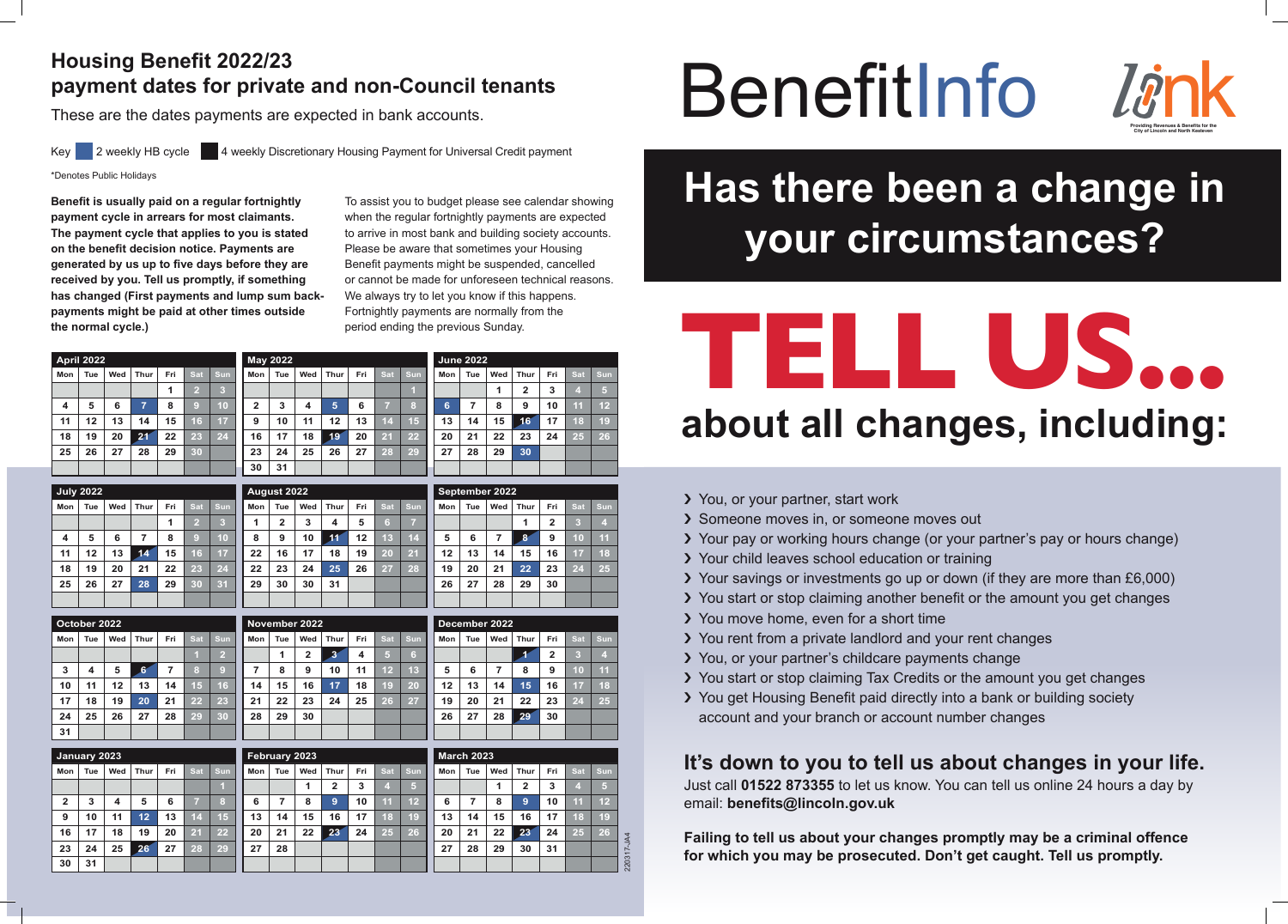› You, or your partner, start work

- › Someone moves in, or someone moves out
- 
- › Your pay or working hours change (or your partner's pay or hours change) › Your child leaves school education or training
- › Your savings or investments go up or down (if they are more than £6,000)
- > You start or stop claiming another benefit or the amount you get changes
- › You move home, even for a short time
- › You rent from a private landlord and your rent changes
- › You, or your partner's childcare payments change
- › You start or stop claiming Tax Credits or the amount you get changes
- > You get Housing Benefit paid directly into a bank or building society account and your branch or account number changes

## Plousing Benefit 2022/23<br>payment dates for private and non-Council tenants<br>These are the dates payments are expected in bank accounts.<br>And **Revenue of the property of the article of the article of the article of the articl payment dates for private and non-Council tenants**

#### **It's down to you to tell us about changes in your life.**

Just call **01522 873355** to let us know. You can tell us online 24 hours a day by email: **benefits@lincoln.gov.uk**

**Failing to tell us about your changes promptly may be a criminal offence for which you may be prosecuted. Don't get caught. Tell us promptly.**





These are the dates payments are expected in bank accounts.

Key 2 weekly HB cycle 4 weekly Discretionary Housing Payment for Universal Credit payment

\*Denotes Public Holidays

**Benefit is usually paid on a regular fortnightly payment cycle in arrears for most claimants. The payment cycle that applies to you is stated on the benefit decision notice. Payments are generated by us up to five days before they are received by you. Tell us promptly, if something has changed (First payments and lump sum backpayments might be paid at other times outside the normal cycle.)**

To assist you to budget please see calendar showing when the regular fortnightly payments are expected to arrive in most bank and building society accounts. Please be aware that sometimes your Housing Benefit payments might be suspended, cancelled or cannot be made for unforeseen technical reasons. We always try to let you know if this happens. Fortnightly payments are normally from the period ending the previous Sunday.

220317-JA4

## **Has there been a change in your circumstances?**



# **TELL US... about all changes, including:**

- 
- 

|              | <b>April 2022</b> |                         |                |                |                |                         |                | <b>May 2022</b>         |                |                |     |                         |                |     | <b>June 2022</b>  |                |                |                |                         |                         |
|--------------|-------------------|-------------------------|----------------|----------------|----------------|-------------------------|----------------|-------------------------|----------------|----------------|-----|-------------------------|----------------|-----|-------------------|----------------|----------------|----------------|-------------------------|-------------------------|
| Mon          | <b>Tue</b>        | Wed                     | <b>Thur</b>    | Fri            | <b>Sat</b>     | <b>Sun</b>              | Mon            | <b>Tue</b>              | Wed            | Thur           | Fri | <b>Sat</b>              | Sun            | Mon | <b>Tue</b>        | Wed            | Thur           | Fri            | Sat                     | Sun                     |
|              |                   |                         |                | 1              | $\overline{2}$ | $\overline{3}$          |                |                         |                |                |     |                         | 1              |     |                   | 1              | $\mathbf{2}$   | 3              | $\overline{\mathbf{4}}$ | $\overline{\mathbf{5}}$ |
| 4            | 5                 | 6                       | $\overline{7}$ | 8              | 9              | 10                      | $\mathbf{2}$   | 3                       | 4              | 5              | 6   | $\overline{7}$          | 8              | 6   | 7                 | 8              | 9              | 10             | 11                      | 12                      |
| 11           | 12                | 13                      | 14             | 15             | 16             | 17                      | 9              | 10                      | 11             | 12             | 13  | 14                      | 15             | 13  | 14                | 15             | 16             | 17             | 18                      | 19                      |
| 18           | 19                | 20                      | 21             | 22             | 23             | 24                      | 16             | 17                      | 18             | 19             | 20  | 21                      | 22             | 20  | 21                | 22             | 23             | 24             | 25                      | 26                      |
| 25           | 26                | 27                      | 28             | 29             | 30             |                         | 23             | 24                      | 25             | 26             | 27  | 28                      | 29             | 27  | 28                | 29             | 30             |                |                         |                         |
|              |                   |                         |                |                |                |                         | 30             | 31                      |                |                |     |                         |                |     |                   |                |                |                |                         |                         |
|              | <b>July 2022</b>  |                         |                |                |                |                         |                | August 2022             |                |                |     |                         |                |     |                   | September 2022 |                |                |                         |                         |
| Mon          | <b>Tue</b>        | Wed                     | <b>Thur</b>    | Fri            | Sat            | Sun                     | Mon            | Tue                     | Wed            | Thur           | Fri | Sat                     | Sun            | Mon | <b>Tue</b>        | Wed            | Thur           | Fri            | Sat                     | Sun                     |
|              |                   |                         |                | $\mathbf{1}$   | $\overline{2}$ | $\overline{\mathbf{3}}$ | 1              | $\overline{\mathbf{2}}$ | 3              | 4              | 5   | $6\phantom{a}$          | $\overline{7}$ |     |                   |                | 1              | $\mathbf{2}$   | $\overline{\mathbf{3}}$ | 4                       |
| 4            | 5                 | 6                       | $\overline{7}$ | 8              | $\overline{9}$ | 10                      | 8              | 9                       | 10             | 11             | 12  | 13                      | 14             | 5   | 6                 | $\overline{7}$ | 8 <sup>1</sup> | 9              | 10                      | 11                      |
| 11           | 12                | 13                      | 14             | 15             | 16             | 17                      | 22             | 16                      | 17             | 18             | 19  | 20                      | 21             | 12  | 13                | 14             | 15             | 16             | 17                      | 18                      |
| 18           | 19                | 20                      | 21             | 22             | 23             | 24                      | 22             | 23                      | 24             | 25             | 26  | 27                      | 28             | 19  | 20                | 21             | 22             | 23             | 24                      | 25                      |
| 25           | 26                | 27                      | 28             | 29             | 30             | 31                      | 29             | 30                      | 30             | 31             |     |                         |                | 26  | 27                | 28             | 29             | 30             |                         |                         |
|              |                   |                         |                |                |                |                         |                |                         |                |                |     |                         |                |     |                   |                |                |                |                         |                         |
|              |                   |                         |                |                |                |                         |                |                         |                |                |     |                         |                |     |                   |                |                |                |                         |                         |
|              |                   |                         |                |                |                |                         |                |                         |                |                |     |                         |                |     |                   |                |                |                |                         |                         |
|              | October 2022      |                         |                |                |                |                         |                |                         | November 2022  |                |     |                         |                |     |                   | December 2022  |                |                |                         |                         |
| Mon          | <b>Tue</b>        | Wed                     | <b>Thur</b>    | Fri            | <b>Sat</b>     | <b>Sun</b>              | Mon            | Tue                     | Wed            | <b>Thur</b>    | Fri | <b>Sat</b>              | Sun            | Mon | <b>Tue</b>        | Wed            | Thur           | Fri            | <b>Sat</b>              | Sun                     |
|              |                   |                         |                |                | $\blacksquare$ | $\overline{2}$          |                | 1                       | $\overline{2}$ | 3 <sup>1</sup> | 4   | $\overline{5}$          | $6\phantom{a}$ |     |                   |                | $\overline{1}$ | $\overline{2}$ | 3                       | $\overline{\mathbf{4}}$ |
| 3            | 4                 | $\overline{\mathbf{5}}$ | 6 <sup>1</sup> | $\overline{7}$ | 8              | 9                       | $\overline{7}$ | 8                       | 9              | 10             | 11  | 12                      | 13             | 5   | 6                 | $\overline{7}$ | 8              | 9              | 10                      | 11                      |
| 10           | 11                | 12                      | 13             | 14             | 15             | 16                      | 14             | 15                      | 16             | 17             | 18  | 19                      | 20             | 12  | 13                | 14             | 15             | 16             | 17                      | 18                      |
| 17           | 18                | 19                      | 20             | 21             | 22             | 23                      | 21             | 22                      | 23             | 24             | 25  | 26                      | 27             | 19  | 20                | 21             | 22             | 23             | 24                      | 25                      |
| 24           | 25                | 26                      | 27             | 28             | 29             | 30                      | 28             | 29                      | 30             |                |     |                         |                | 26  | 27                | 28             | 29             | 30             |                         |                         |
| 31           |                   |                         |                |                |                |                         |                |                         |                |                |     |                         |                |     |                   |                |                |                |                         |                         |
|              | January 2023      |                         |                |                |                |                         |                | February 2023           |                |                |     |                         |                |     | <b>March 2023</b> |                |                |                |                         |                         |
| Mon          | <b>Tue</b>        | Wed                     | <b>Thur</b>    | Fri            | <b>Sat</b>     | <b>Sun</b>              | Mon            | <b>Tue</b>              | Wed            | Thur           | Fri | <b>Sat</b>              | Sun            | Mon | <b>Tue</b>        | Wed            | Thur           | Fri            | <b>Sat</b>              | Sun                     |
|              |                   |                         |                |                |                | $\blacksquare$          |                |                         | 1              | $\mathbf{2}$   | 3   | $\overline{\mathbf{4}}$ | 5              |     |                   | 1              | $\overline{2}$ | 3              | $\overline{\mathbf{4}}$ | $\overline{5}$          |
| $\mathbf{2}$ | $\mathbf{3}$      | 4                       | 5              | 6              | $\overline{7}$ | $\bf{8}$                | 6              | $\overline{7}$          | 8              | 9              | 10  | 11                      | 12             | 6   | $\overline{7}$    | 8              | 9              | 10             | 11                      | 12                      |
| 9            | 10                | 11                      | 12             | 13             | 14             | 15                      | 13             | 14                      | 15             | 16             | 17  | 18                      | 19             | 13  | 14                | 15             | 16             | 17             | 18                      | 19                      |
| 16           | 17                | 18                      | 19             | 20             | 21             | 22                      | 20             | 21                      | 22             | 23             | 24  | 25                      | 26             | 20  | 21                | 22             | 23             | 24             | 25                      | 26                      |
| 23<br>30     | 24<br>31          | 25                      | 26             | 27             | 28             | 29                      | 27             | 28                      |                |                |     |                         |                | 27  | 28                | 29             | 30             | 31             |                         |                         |